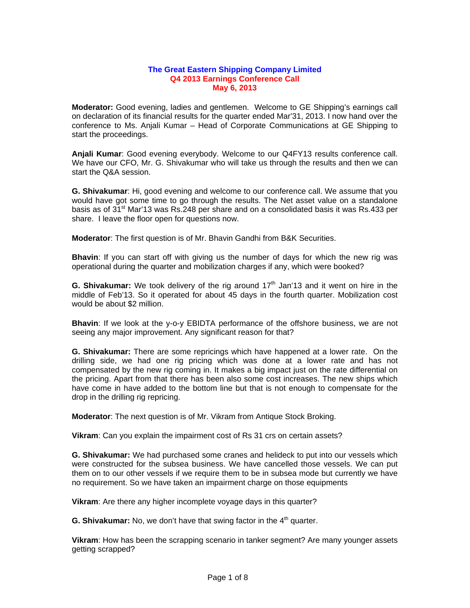## **The Great Eastern Shipping Company Limited Q4 2013 Earnings Conference Call May 6, 2013**

**Moderator:** Good evening, ladies and gentlemen. Welcome to GE Shipping's earnings call on declaration of its financial results for the quarter ended Mar'31, 2013. I now hand over the conference to Ms. Anjali Kumar – Head of Corporate Communications at GE Shipping to start the proceedings.

**Anjali Kumar**: Good evening everybody. Welcome to our Q4FY13 results conference call. We have our CFO, Mr. G. Shivakumar who will take us through the results and then we can start the Q&A session.

**G. Shivakumar**: Hi, good evening and welcome to our conference call. We assume that you would have got some time to go through the results. The Net asset value on a standalone basis as of 31<sup>st</sup> Mar'13 was Rs.248 per share and on a consolidated basis it was Rs.433 per share. I leave the floor open for questions now.

**Moderator**: The first question is of Mr. Bhavin Gandhi from B&K Securities.

**Bhavin**: If you can start off with giving us the number of days for which the new rig was operational during the quarter and mobilization charges if any, which were booked?

**G. Shivakumar:** We took delivery of the rig around 17<sup>th</sup> Jan'13 and it went on hire in the middle of Feb'13. So it operated for about 45 days in the fourth quarter. Mobilization cost would be about \$2 million.

**Bhavin**: If we look at the y-o-y EBIDTA performance of the offshore business, we are not seeing any major improvement. Any significant reason for that?

**G. Shivakumar:** There are some repricings which have happened at a lower rate. On the drilling side, we had one rig pricing which was done at a lower rate and has not compensated by the new rig coming in. It makes a big impact just on the rate differential on the pricing. Apart from that there has been also some cost increases. The new ships which have come in have added to the bottom line but that is not enough to compensate for the drop in the drilling rig repricing.

**Moderator**: The next question is of Mr. Vikram from Antique Stock Broking.

**Vikram**: Can you explain the impairment cost of Rs 31 crs on certain assets?

**G. Shivakumar:** We had purchased some cranes and helideck to put into our vessels which were constructed for the subsea business. We have cancelled those vessels. We can put them on to our other vessels if we require them to be in subsea mode but currently we have no requirement. So we have taken an impairment charge on those equipments

**Vikram**: Are there any higher incomplete voyage days in this quarter?

**G. Shivakumar:** No, we don't have that swing factor in the 4<sup>th</sup> quarter.

**Vikram**: How has been the scrapping scenario in tanker segment? Are many younger assets getting scrapped?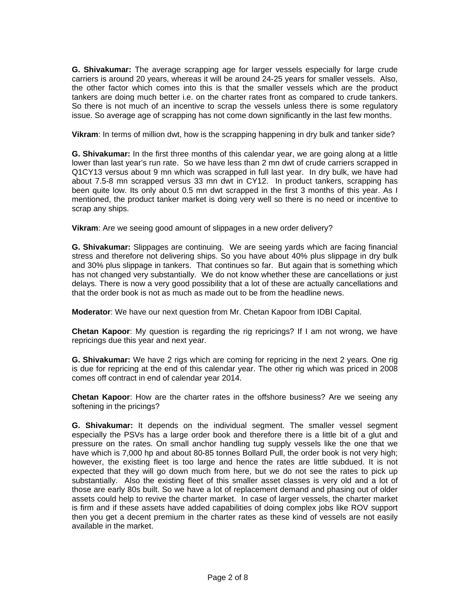**G. Shivakumar:** The average scrapping age for larger vessels especially for large crude carriers is around 20 years, whereas it will be around 24-25 years for smaller vessels. Also, the other factor which comes into this is that the smaller vessels which are the product tankers are doing much better i.e. on the charter rates front as compared to crude tankers. So there is not much of an incentive to scrap the vessels unless there is some regulatory issue. So average age of scrapping has not come down significantly in the last few months.

**Vikram**: In terms of million dwt, how is the scrapping happening in dry bulk and tanker side?

**G. Shivakumar:** In the first three months of this calendar year, we are going along at a little lower than last year's run rate. So we have less than 2 mn dwt of crude carriers scrapped in Q1CY13 versus about 9 mn which was scrapped in full last year. In dry bulk, we have had about 7.5-8 mn scrapped versus 33 mn dwt in CY12. In product tankers, scrapping has been quite low. Its only about 0.5 mn dwt scrapped in the first 3 months of this year. As I mentioned, the product tanker market is doing very well so there is no need or incentive to scrap any ships.

**Vikram**: Are we seeing good amount of slippages in a new order delivery?

**G. Shivakumar:** Slippages are continuing. We are seeing yards which are facing financial stress and therefore not delivering ships. So you have about 40% plus slippage in dry bulk and 30% plus slippage in tankers. That continues so far. But again that is something which has not changed very substantially. We do not know whether these are cancellations or just delays. There is now a very good possibility that a lot of these are actually cancellations and that the order book is not as much as made out to be from the headline news.

**Moderator**: We have our next question from Mr. Chetan Kapoor from IDBI Capital.

**Chetan Kapoor**: My question is regarding the rig repricings? If I am not wrong, we have repricings due this year and next year.

**G. Shivakumar:** We have 2 rigs which are coming for repricing in the next 2 years. One rig is due for repricing at the end of this calendar year. The other rig which was priced in 2008 comes off contract in end of calendar year 2014.

**Chetan Kapoor**: How are the charter rates in the offshore business? Are we seeing any softening in the pricings?

**G. Shivakumar:** It depends on the individual segment. The smaller vessel segment especially the PSVs has a large order book and therefore there is a little bit of a glut and pressure on the rates. On small anchor handling tug supply vessels like the one that we have which is 7,000 hp and about 80-85 tonnes Bollard Pull, the order book is not very high; however, the existing fleet is too large and hence the rates are little subdued. It is not expected that they will go down much from here, but we do not see the rates to pick up substantially. Also the existing fleet of this smaller asset classes is very old and a lot of those are early 80s built. So we have a lot of replacement demand and phasing out of older assets could help to revive the charter market. In case of larger vessels, the charter market is firm and if these assets have added capabilities of doing complex jobs like ROV support then you get a decent premium in the charter rates as these kind of vessels are not easily available in the market.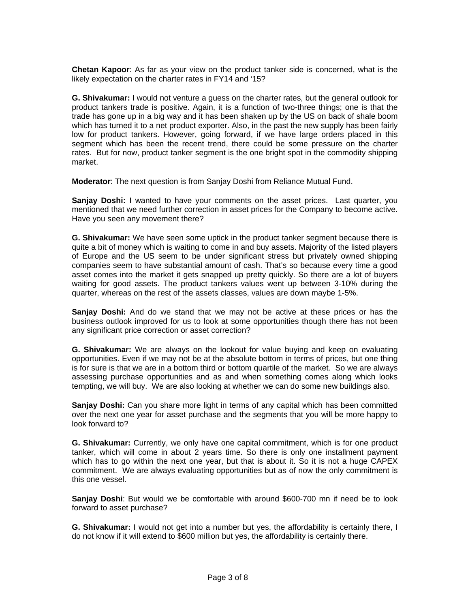**Chetan Kapoor**: As far as your view on the product tanker side is concerned, what is the likely expectation on the charter rates in FY14 and '15?

**G. Shivakumar:** I would not venture a guess on the charter rates, but the general outlook for product tankers trade is positive. Again, it is a function of two-three things; one is that the trade has gone up in a big way and it has been shaken up by the US on back of shale boom which has turned it to a net product exporter. Also, in the past the new supply has been fairly low for product tankers. However, going forward, if we have large orders placed in this segment which has been the recent trend, there could be some pressure on the charter rates. But for now, product tanker segment is the one bright spot in the commodity shipping market.

**Moderator**: The next question is from Sanjay Doshi from Reliance Mutual Fund.

**Sanjay Doshi:** I wanted to have your comments on the asset prices. Last quarter, you mentioned that we need further correction in asset prices for the Company to become active. Have you seen any movement there?

**G. Shivakumar:** We have seen some uptick in the product tanker segment because there is quite a bit of money which is waiting to come in and buy assets. Majority of the listed players of Europe and the US seem to be under significant stress but privately owned shipping companies seem to have substantial amount of cash. That's so because every time a good asset comes into the market it gets snapped up pretty quickly. So there are a lot of buyers waiting for good assets. The product tankers values went up between 3-10% during the quarter, whereas on the rest of the assets classes, values are down maybe 1-5%.

**Sanjay Doshi:** And do we stand that we may not be active at these prices or has the business outlook improved for us to look at some opportunities though there has not been any significant price correction or asset correction?

**G. Shivakumar:** We are always on the lookout for value buying and keep on evaluating opportunities. Even if we may not be at the absolute bottom in terms of prices, but one thing is for sure is that we are in a bottom third or bottom quartile of the market. So we are always assessing purchase opportunities and as and when something comes along which looks tempting, we will buy. We are also looking at whether we can do some new buildings also.

**Sanjay Doshi:** Can you share more light in terms of any capital which has been committed over the next one year for asset purchase and the segments that you will be more happy to look forward to?

**G. Shivakumar:** Currently, we only have one capital commitment, which is for one product tanker, which will come in about 2 years time. So there is only one installment payment which has to go within the next one year, but that is about it. So it is not a huge CAPEX commitment. We are always evaluating opportunities but as of now the only commitment is this one vessel.

**Sanjay Doshi**: But would we be comfortable with around \$600-700 mn if need be to look forward to asset purchase?

**G. Shivakumar:** I would not get into a number but yes, the affordability is certainly there, I do not know if it will extend to \$600 million but yes, the affordability is certainly there.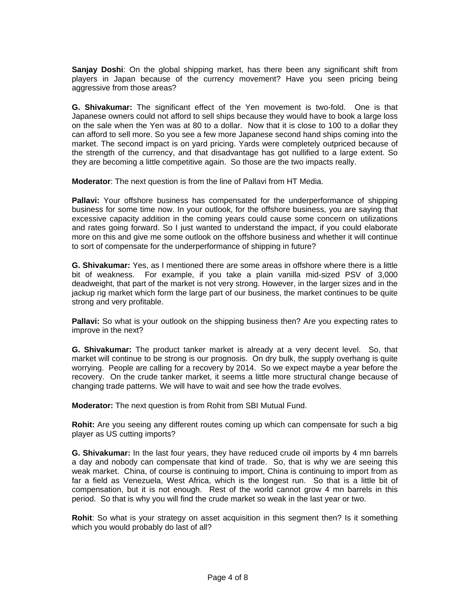**Sanjay Doshi**: On the global shipping market, has there been any significant shift from players in Japan because of the currency movement? Have you seen pricing being aggressive from those areas?

**G. Shivakumar:** The significant effect of the Yen movement is two-fold. One is that Japanese owners could not afford to sell ships because they would have to book a large loss on the sale when the Yen was at 80 to a dollar. Now that it is close to 100 to a dollar they can afford to sell more. So you see a few more Japanese second hand ships coming into the market. The second impact is on yard pricing. Yards were completely outpriced because of the strength of the currency, and that disadvantage has got nullified to a large extent. So they are becoming a little competitive again. So those are the two impacts really.

**Moderator**: The next question is from the line of Pallavi from HT Media.

**Pallavi:** Your offshore business has compensated for the underperformance of shipping business for some time now. In your outlook, for the offshore business, you are saying that excessive capacity addition in the coming years could cause some concern on utilizations and rates going forward. So I just wanted to understand the impact, if you could elaborate more on this and give me some outlook on the offshore business and whether it will continue to sort of compensate for the underperformance of shipping in future?

**G. Shivakumar:** Yes, as I mentioned there are some areas in offshore where there is a little bit of weakness. For example, if you take a plain vanilla mid-sized PSV of 3,000 deadweight, that part of the market is not very strong. However, in the larger sizes and in the jackup rig market which form the large part of our business, the market continues to be quite strong and very profitable.

**Pallavi:** So what is your outlook on the shipping business then? Are you expecting rates to improve in the next?

**G. Shivakumar:** The product tanker market is already at a very decent level. So, that market will continue to be strong is our prognosis. On dry bulk, the supply overhang is quite worrying. People are calling for a recovery by 2014. So we expect maybe a year before the recovery. On the crude tanker market, it seems a little more structural change because of changing trade patterns. We will have to wait and see how the trade evolves.

**Moderator:** The next question is from Rohit from SBI Mutual Fund.

**Rohit:** Are you seeing any different routes coming up which can compensate for such a big player as US cutting imports?

**G. Shivakumar:** In the last four years, they have reduced crude oil imports by 4 mn barrels a day and nobody can compensate that kind of trade. So, that is why we are seeing this weak market. China, of course is continuing to import, China is continuing to import from as far a field as Venezuela, West Africa, which is the longest run. So that is a little bit of compensation, but it is not enough. Rest of the world cannot grow 4 mn barrels in this period. So that is why you will find the crude market so weak in the last year or two.

**Rohit**: So what is your strategy on asset acquisition in this segment then? Is it something which you would probably do last of all?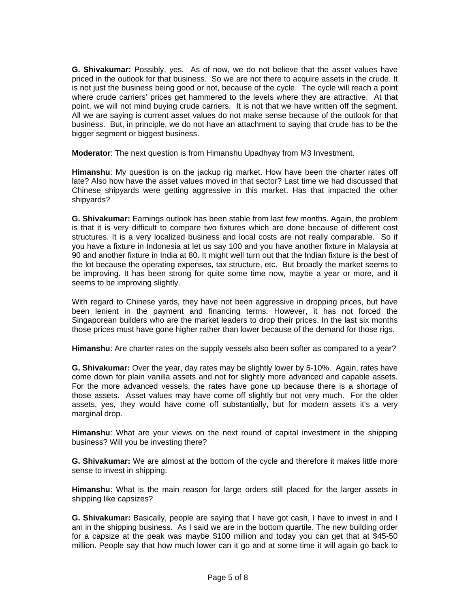**G. Shivakumar:** Possibly, yes. As of now, we do not believe that the asset values have priced in the outlook for that business. So we are not there to acquire assets in the crude. It is not just the business being good or not, because of the cycle. The cycle will reach a point where crude carriers' prices get hammered to the levels where they are attractive. At that point, we will not mind buying crude carriers. It is not that we have written off the segment. All we are saying is current asset values do not make sense because of the outlook for that business. But, in principle, we do not have an attachment to saying that crude has to be the bigger segment or biggest business.

**Moderator**: The next question is from Himanshu Upadhyay from M3 Investment.

**Himanshu**: My question is on the jackup rig market. How have been the charter rates off late? Also how have the asset values moved in that sector? Last time we had discussed that Chinese shipyards were getting aggressive in this market. Has that impacted the other shipyards?

**G. Shivakumar:** Earnings outlook has been stable from last few months. Again, the problem is that it is very difficult to compare two fixtures which are done because of different cost structures. It is a very localized business and local costs are not really comparable. So if you have a fixture in Indonesia at let us say 100 and you have another fixture in Malaysia at 90 and another fixture in India at 80. It might well turn out that the Indian fixture is the best of the lot because the operating expenses, tax structure, etc. But broadly the market seems to be improving. It has been strong for quite some time now, maybe a year or more, and it seems to be improving slightly.

With regard to Chinese yards, they have not been aggressive in dropping prices, but have been lenient in the payment and financing terms. However, it has not forced the Singaporean builders who are the market leaders to drop their prices. In the last six months those prices must have gone higher rather than lower because of the demand for those rigs.

**Himanshu**: Are charter rates on the supply vessels also been softer as compared to a year?

**G. Shivakumar:** Over the year, day rates may be slightly lower by 5-10%. Again, rates have come down for plain vanilla assets and not for slightly more advanced and capable assets. For the more advanced vessels, the rates have gone up because there is a shortage of those assets. Asset values may have come off slightly but not very much. For the older assets, yes, they would have come off substantially, but for modern assets it's a very marginal drop.

**Himanshu**: What are your views on the next round of capital investment in the shipping business? Will you be investing there?

**G. Shivakumar:** We are almost at the bottom of the cycle and therefore it makes little more sense to invest in shipping.

**Himanshu**: What is the main reason for large orders still placed for the larger assets in shipping like capsizes?

**G. Shivakumar:** Basically, people are saying that I have got cash, I have to invest in and I am in the shipping business. As I said we are in the bottom quartile. The new building order for a capsize at the peak was maybe \$100 million and today you can get that at \$45-50 million. People say that how much lower can it go and at some time it will again go back to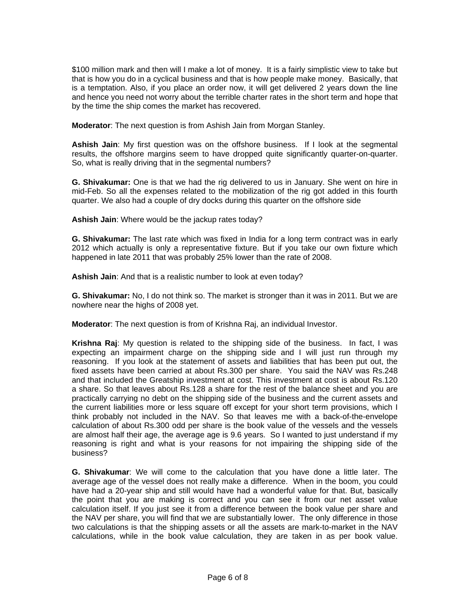\$100 million mark and then will I make a lot of money. It is a fairly simplistic view to take but that is how you do in a cyclical business and that is how people make money. Basically, that is a temptation. Also, if you place an order now, it will get delivered 2 years down the line and hence you need not worry about the terrible charter rates in the short term and hope that by the time the ship comes the market has recovered.

**Moderator**: The next question is from Ashish Jain from Morgan Stanley.

**Ashish Jain**: My first question was on the offshore business. If I look at the segmental results, the offshore margins seem to have dropped quite significantly quarter-on-quarter. So, what is really driving that in the segmental numbers?

**G. Shivakumar:** One is that we had the rig delivered to us in January. She went on hire in mid-Feb. So all the expenses related to the mobilization of the rig got added in this fourth quarter. We also had a couple of dry docks during this quarter on the offshore side

**Ashish Jain**: Where would be the jackup rates today?

**G. Shivakumar:** The last rate which was fixed in India for a long term contract was in early 2012 which actually is only a representative fixture. But if you take our own fixture which happened in late 2011 that was probably 25% lower than the rate of 2008.

**Ashish Jain**: And that is a realistic number to look at even today?

**G. Shivakumar:** No, I do not think so. The market is stronger than it was in 2011. But we are nowhere near the highs of 2008 yet.

**Moderator**: The next question is from of Krishna Raj, an individual Investor.

**Krishna Raj**: My question is related to the shipping side of the business. In fact, I was expecting an impairment charge on the shipping side and I will just run through my reasoning. If you look at the statement of assets and liabilities that has been put out, the fixed assets have been carried at about Rs.300 per share. You said the NAV was Rs.248 and that included the Greatship investment at cost. This investment at cost is about Rs.120 a share. So that leaves about Rs.128 a share for the rest of the balance sheet and you are practically carrying no debt on the shipping side of the business and the current assets and the current liabilities more or less square off except for your short term provisions, which I think probably not included in the NAV. So that leaves me with a back-of-the-envelope calculation of about Rs.300 odd per share is the book value of the vessels and the vessels are almost half their age, the average age is 9.6 years. So I wanted to just understand if my reasoning is right and what is your reasons for not impairing the shipping side of the business?

**G. Shivakumar**: We will come to the calculation that you have done a little later. The average age of the vessel does not really make a difference. When in the boom, you could have had a 20-year ship and still would have had a wonderful value for that. But, basically the point that you are making is correct and you can see it from our net asset value calculation itself. If you just see it from a difference between the book value per share and the NAV per share, you will find that we are substantially lower. The only difference in those two calculations is that the shipping assets or all the assets are mark-to-market in the NAV calculations, while in the book value calculation, they are taken in as per book value.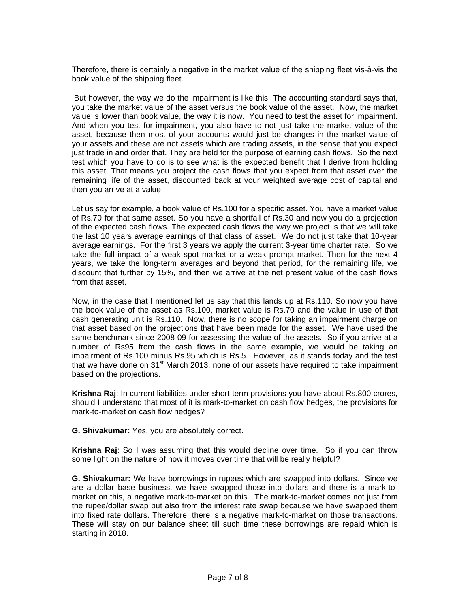Therefore, there is certainly a negative in the market value of the shipping fleet vis-à-vis the book value of the shipping fleet.

 But however, the way we do the impairment is like this. The accounting standard says that, you take the market value of the asset versus the book value of the asset. Now, the market value is lower than book value, the way it is now. You need to test the asset for impairment. And when you test for impairment, you also have to not just take the market value of the asset, because then most of your accounts would just be changes in the market value of your assets and these are not assets which are trading assets, in the sense that you expect just trade in and order that. They are held for the purpose of earning cash flows. So the next test which you have to do is to see what is the expected benefit that I derive from holding this asset. That means you project the cash flows that you expect from that asset over the remaining life of the asset, discounted back at your weighted average cost of capital and then you arrive at a value.

Let us say for example, a book value of Rs.100 for a specific asset. You have a market value of Rs.70 for that same asset. So you have a shortfall of Rs.30 and now you do a projection of the expected cash flows. The expected cash flows the way we project is that we will take the last 10 years average earnings of that class of asset. We do not just take that 10-year average earnings. For the first 3 years we apply the current 3-year time charter rate. So we take the full impact of a weak spot market or a weak prompt market. Then for the next 4 years, we take the long-term averages and beyond that period, for the remaining life, we discount that further by 15%, and then we arrive at the net present value of the cash flows from that asset.

Now, in the case that I mentioned let us say that this lands up at Rs.110. So now you have the book value of the asset as Rs.100, market value is Rs.70 and the value in use of that cash generating unit is Rs.110. Now, there is no scope for taking an impairment charge on that asset based on the projections that have been made for the asset. We have used the same benchmark since 2008-09 for assessing the value of the assets. So if you arrive at a number of Rs95 from the cash flows in the same example, we would be taking an impairment of Rs.100 minus Rs.95 which is Rs.5. However, as it stands today and the test that we have done on 31<sup>st</sup> March 2013, none of our assets have required to take impairment based on the projections.

**Krishna Raj**: In current liabilities under short-term provisions you have about Rs.800 crores, should I understand that most of it is mark-to-market on cash flow hedges, the provisions for mark-to-market on cash flow hedges?

**G. Shivakumar:** Yes, you are absolutely correct.

**Krishna Raj**: So I was assuming that this would decline over time. So if you can throw some light on the nature of how it moves over time that will be really helpful?

**G. Shivakumar:** We have borrowings in rupees which are swapped into dollars. Since we are a dollar base business, we have swapped those into dollars and there is a mark-tomarket on this, a negative mark-to-market on this. The mark-to-market comes not just from the rupee/dollar swap but also from the interest rate swap because we have swapped them into fixed rate dollars. Therefore, there is a negative mark-to-market on those transactions. These will stay on our balance sheet till such time these borrowings are repaid which is starting in 2018.